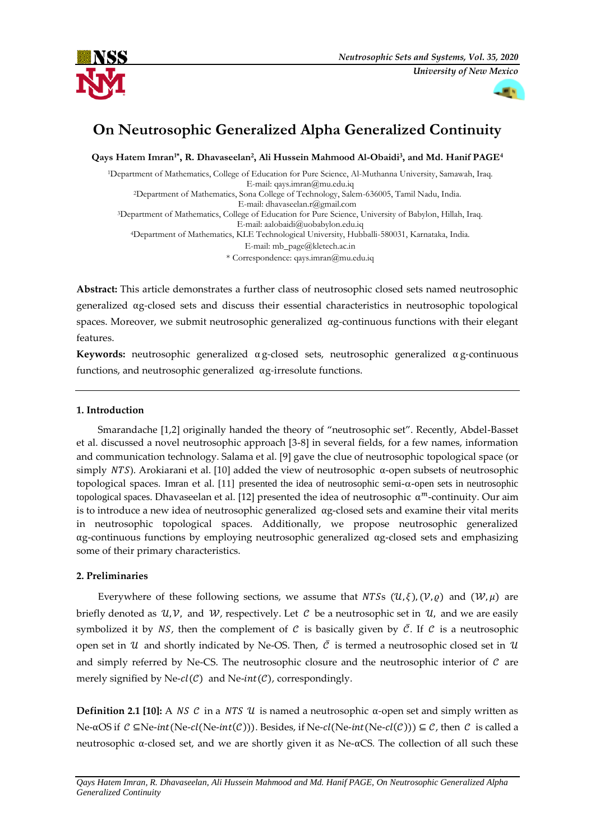



# **On Neutrosophic Generalized Alpha Generalized Continuity**

**Qays Hatem Imran1\*, R. Dhavaseelan<sup>2</sup> , Ali Hussein Mahmood Al-Obaidi<sup>3</sup> , and Md. Hanif PAGE<sup>4</sup>**

<sup>1</sup>Department of Mathematics, College of Education for Pure Science, Al-Muthanna University, Samawah, Iraq. E-mail[: qays.imran@mu.edu.iq](mailto:qays.imran@mu.edu.iq) <sup>2</sup>Department of Mathematics, Sona College of Technology, Salem-636005, Tamil Nadu, India. E-mail: [dhavaseelan.r@gmail.com](mailto:dhavaseelan.r@gmail.com) <sup>3</sup>Department of Mathematics, College of Education for Pure Science, University of Babylon, Hillah, Iraq. E-mail: [aalobaidi@uobabylon.edu.iq](mailto:aalobaidi@uobabylon.edu.iq) <sup>4</sup>Department of Mathematics, KLE Technological University, Hubballi-580031, Karnataka, India. E-mail: [mb\\_page@kletech.ac.in](mailto:mb_page@kletech.ac.in) \* Correspondence[: qays.imran@mu.edu.iq](mailto:qays.imran@mu.edu.iq)

**Abstract:** This article demonstrates a further class of neutrosophic closed sets named neutrosophic generalized αg*-*closed sets and discuss their essential characteristics in neutrosophic topological spaces. Moreover, we submit neutrosophic generalized αg*-*continuous functions with their elegant features.

**Keywords:** neutrosophic generalized α g*-*closed sets, neutrosophic generalized α g*-*continuous functions, and neutrosophic generalized αg*-*irresolute functions.

## **1. Introduction**

Smarandache [1,2] originally handed the theory of "neutrosophic set". Recently, Abdel-Basset et al. discussed a novel neutrosophic approach [3-8] in several fields, for a few names, information and communication technology. Salama et al. [9] gave the clue of neutrosophic topological space (or simply NTS). Arokiarani et al. [10] added the view of neutrosophic  $\alpha$ -open subsets of neutrosophic topological spaces. Imran et al. [11] presented the idea of neutrosophic semi*--*open sets in neutrosophic topological spaces. Dhavaseelan et al. [12] presented the idea o[f neutrosophic](http://fs.unm.edu/NSS/Neutrosophic%20alpha-m-continuity.pdf)  $\alpha^m$ -continuity. Our aim is to introduce a new idea of neutrosophic generalized  $\alpha$ g-closed sets and examine their vital merits in neutrosophic topological spaces. Additionally, we propose neutrosophic generalized αg-continuous functions by employing neutrosophic generalized αg-closed sets and emphasizing some of their primary characteristics.

## **2. Preliminaries**

Everywhere of these following sections, we assume that NTSs  $(U, \xi)$ ,  $(V, \varrho)$  and  $(W, \mu)$  are briefly denoted as  $\mathcal{U}, \mathcal{V}$ , and  $\mathcal{W}$ , respectively. Let C be a neutrosophic set in  $\mathcal{U}$ , and we are easily symbolized it by NS, then the complement of C is basically given by  $\overline{C}$ . If C is a neutrosophic open set in U and shortly indicated by Ne-OS. Then,  $\bar{C}$  is termed a neutrosophic closed set in U and simply referred by Ne-CS. The neutrosophic closure and the neutrosophic interior of  $C$  are merely signified by Ne- $cl(C)$  and Ne-int(C), correspondingly.

**Definition 2.1 [10]:** A NS C in a NTS U is named a neutrosophic α-open set and simply written as Ne- $\alpha$ OS if  $C \subseteq$ Ne-*int*(Ne-*cl*(Ne-*int*( $C$ ))). Besides, if Ne-*cl*(Ne-*int*(Ne-*cl*( $C$ )))  $\subseteq$   $C$ , then  $C$  is called a neutrosophic α*-*closed set, and we are shortly given it as Ne-αCS*.* The collection of all such these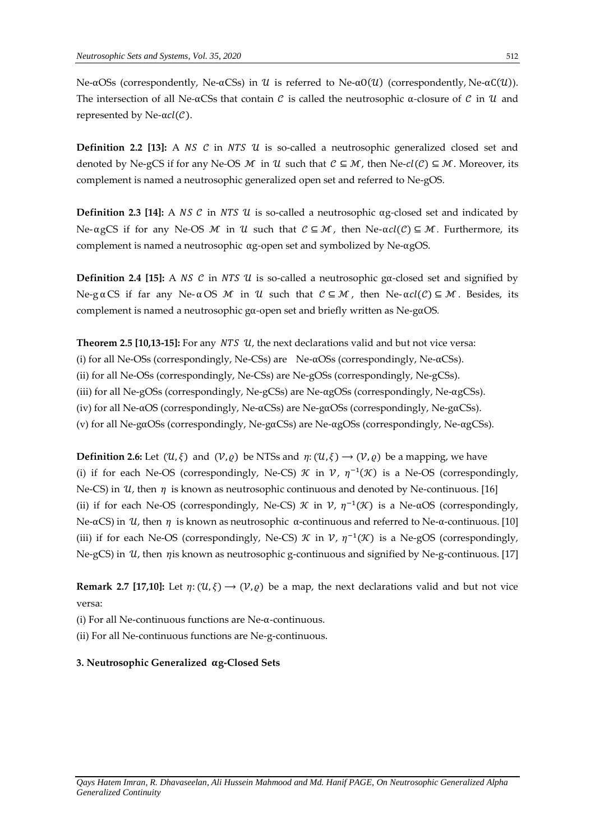Ne-αOSs (correspondently, Ne-αCSs) in *U* is referred to Ne-α0(*U*) (correspondently, Ne-αC(*U*)). The intersection of all Ne- $\alpha$ CSs that contain  $\mathcal C$  is called the neutrosophic  $\alpha$ -closure of  $\mathcal C$  in  $\mathcal U$  and represented by Ne- $\alpha cl(\mathcal{C})$ .

**Definition 2.2 [13]:** A  $NS$   $C$  in  $NTS$   $U$  is so-called a neutrosophic generalized closed set and denoted by Ne-gCS if for any Ne-OS M in U such that  $C \subseteq M$ , then Ne- $cl(C) \subseteq M$ . Moreover, its complement is named a neutrosophic generalized open set and referred to Ne-gOS.

**Definition 2.3 [14]:** A NS  $\mathcal{C}$  in NTS  $\mathcal{U}$  is so-called a neutrosophic  $\alpha$ g-closed set and indicated by Ne-αgCS if for any Ne-OS *M* in *U* such that  $\mathcal{C} \subseteq \mathcal{M}$ , then Ne-αcl( $\mathcal{C}$ ) ⊆ *M*. Furthermore, its complement is named a neutrosophic αg*-*open set and symbolized by Ne-αgOS.

**Definition 2.4 [15]:** A NS  $C$  in NTS  $U$  is so-called a neutrosophic gα-closed set and signified by Ne-gαCS if far any Ne-αOS M in U such that  $\mathcal{C} \subseteq \mathcal{M}$ , then Ne-αcl(C)  $\subseteq \mathcal{M}$ . Besides, its complement is named a neutrosophic gα*-*open set and briefly written as Ne-gαOS*.*

**Theorem 2.5 [10,13-15]:** For any  $NTS$   $U$ , the next declarations valid and but not vice versa: (i) for all Ne-OSs (correspondingly, Ne-CSs) are  $Ne- $\alpha$ OSs (correspondingly, Ne- $\alpha$ CSs).$ (ii) for all Ne-OSs (correspondingly, Ne-CSs) are Ne-gOSs (correspondingly, Ne-gCSs). (iii) for all Ne-gOSs (correspondingly, Ne-gCSs) are Ne-αgOSs (correspondingly, Ne-αgCSs). (iv) for all Ne-αOS (correspondingly, Ne-αCSs) are Ne-gαOSs (correspondingly, Ne-gαCSs). (v) for all Ne-gαOSs (correspondingly, Ne-gαCSs) are Ne-αgOSs (correspondingly, Ne-αgCSs).

**Definition 2.6:** Let  $(U, \xi)$  and  $(V, \varrho)$  be NTSs and  $\eta: (U, \xi) \to (V, \varrho)$  be a mapping, we have (i) if for each Ne-OS (correspondingly, Ne-CS)  $\mathcal K$  in  $\mathcal V$ ,  $\eta^{-1}(\mathcal K)$  is a Ne-OS (correspondingly, Ne-CS) in  $\mathcal{U}$ , then  $\eta$  is known as neutrosophic continuous and denoted by Ne-continuous. [16] (ii) if for each Ne-OS (correspondingly, Ne-CS)  $\mathcal K$  in  $\mathcal V$ ,  $\eta^{-1}(\mathcal K)$  is a Ne-αOS (correspondingly, Ne-αCS) in U, then  $\eta$  is known as neutrosophic α-continuous and referred to Ne-α-continuous. [10] (iii) if for each Ne-OS (correspondingly, Ne-CS)  $\mathcal K$  in  $\mathcal V$ ,  $\eta^{-1}(\mathcal K)$  is a Ne-gOS (correspondingly, Ne-gCS) in  $\mathcal U$ , then  $\eta$  is known as neutrosophic g-continuous and signified by Ne-g-continuous. [17]

**Remark 2.7 [17,10]:** Let  $\eta: (\mathcal{U}, \xi) \to (\mathcal{V}, \varrho)$  be a map, the next declarations valid and but not vice versa:

(i) For all Ne-continuous functions are Ne-α-continuous.

(ii) For all Ne-continuous functions are Ne-g-continuous.

**3. Neutrosophic Generalized g-Closed Sets**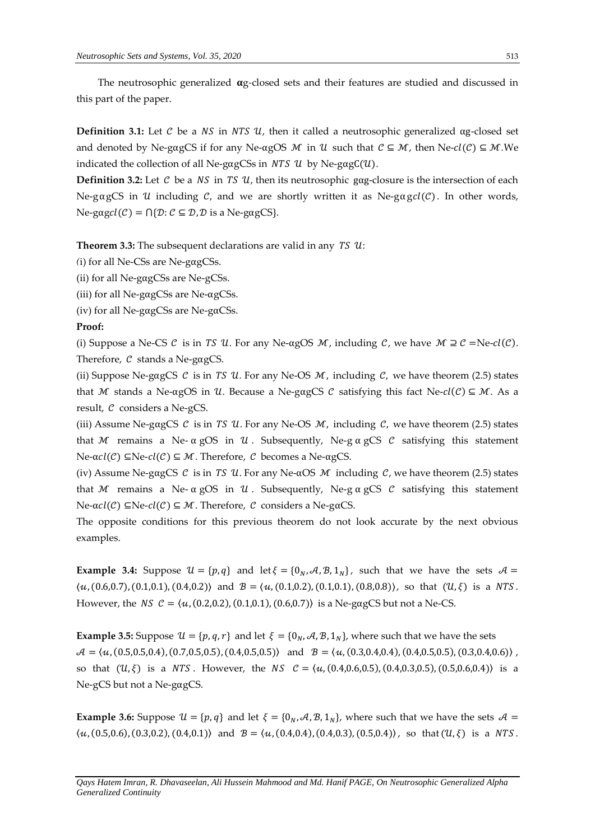The neutrosophic generalized  $\alpha$ g-closed sets and their features are studied and discussed in this part of the paper.

**Definition 3.1:** Let C be a NS in NTS U, then it called a neutrosophic generalized  $\alpha$ g-closed set and denoted by Ne-gagCS if for any Ne- $\alpha$ gOS M in U such that  $C \subseteq M$ , then Ne- $cl(C) \subseteq M$ .We indicated the collection of all Ne-gagCSs in  $NTS$  U by Ne-gagC(U).

**Definition 3.2:** Let C be a  $NS$  in TS  $U$ , then its neutrosophic gag-closure is the intersection of each Ne-gagCS in U including C, and we are shortly written it as Ne-gagcl(C). In other words,  $Ne\text{-}gagcl(\mathcal{C}) = \bigcap {\{\mathcal{D}: \mathcal{C} \subseteq \mathcal{D}, \mathcal{D} \text{ is a Ne-gagCS}\}}.$ 

**Theorem 3.3:** The subsequent declarations are valid in any  $TS$   $U$ :

*(*i) for all Ne-CSs are Ne-gαgCSs.

(ii) for all Ne-gαgCSs are Ne-gCSs.

(iii) for all Ne-gαgCSs are Ne-αgCSs.

(iv) for all Ne-gαgCSs are Ne-gαCSs.

#### **Proof:**

(i) Suppose a Ne-CS  $\mathcal C$  is in TS  $\mathcal U$ . For any Ne-αgOS  $\mathcal M$ , including  $\mathcal C$ , we have  $\mathcal M \supseteq \mathcal C =$ Ne- $cl(\mathcal C)$ . Therefore,  $\mathcal C$  stands a Ne-gagCS.

(ii) Suppose Ne-gagCS  $\mathcal C$  is in *TS U*. For any Ne-OS  $\mathcal M$ , including  $\mathcal C$ , we have theorem (2.5) states that M stands a Ne-αgOS in U. Because a Ne-gαgCS C satisfying this fact Ne-cl(C)  $\subseteq M$ . As a result,  $C$  considers a Ne-gCS.

(iii) Assume Ne-gagCS  $\mathcal C$  is in TS  $\mathcal U$ . For any Ne-OS  $\mathcal M$ , including  $\mathcal C$ , we have theorem (2.5) states that M remains a Ne-  $\alpha$  gOS in U. Subsequently, Ne-g  $\alpha$  gCS C satisfying this statement Ne-α $cl(C)$  ⊆Ne- $cl(C)$  ⊆ *M*. Therefore, *C* becomes a Ne-αgCS.

(iv) Assume Ne-gagCS C is in TS U. For any Ne- $\alpha$ OS M including C, we have theorem (2.5) states that M remains a Ne-  $\alpha$  gOS in U. Subsequently, Ne-g  $\alpha$  gCS C satisfying this statement Ne-α $cl(C)$  ⊆Ne- $cl(C)$  ⊆ *M*. Therefore, *C* considers a Ne-gαCS.

The opposite conditions for this previous theorem do not look accurate by the next obvious examples.

**Example 3.4:** Suppose  $\mathcal{U} = \{p, q\}$  and let  $\xi = \{0_N, A, B, 1_N\}$ , such that we have the sets  $A =$  $\langle u, (0.6,0.7), (0.1,0.1), (0.4,0.2) \rangle$  and  $\mathcal{B} = \langle u, (0.1,0.2), (0.1,0.1), (0.8,0.8) \rangle$ , so that  $(\mathcal{U}, \xi)$  is a NTS. However, the NS  $C = \langle u, (0.2, 0.2), (0.1, 0.1), (0.6, 0.7) \rangle$  is a Ne-gagCS but not a Ne-CS.

**Example 3.5:** Suppose  $\mathcal{U} = \{p, q, r\}$  and let  $\xi = \{0_N, A, B, 1_N\}$ , where such that we have the sets  $\mathcal{A} = \langle u, (0.5,0.5,0.4), (0.7,0.5,0.5), (0.4,0.5,0.5) \rangle$  and  $\mathcal{B} = \langle u, (0.3,0.4,0.4), (0.4,0.5,0.5), (0.3,0.4,0.6) \rangle$ , so that  $(U, \xi)$  is a NTS. However, the NS  $C = \langle u, (0.4, 0.6, 0.5), (0.4, 0.3, 0.5), (0.5, 0.6, 0.4) \rangle$  is a Ne-gCS but not a Ne-gαgCS.

**Example 3.6:** Suppose  $\mathcal{U} = \{p, q\}$  and let  $\xi = \{0_N, A, B, 1_N\}$ , where such that we have the sets  $A =$  $\langle u, (0.5,0.6), (0.3,0.2), (0.4,0.1) \rangle$  and  $B = \langle u, (0.4,0.4), (0.4,0.3), (0.5,0.4) \rangle$ , so that  $(U, \xi)$  is a NTS.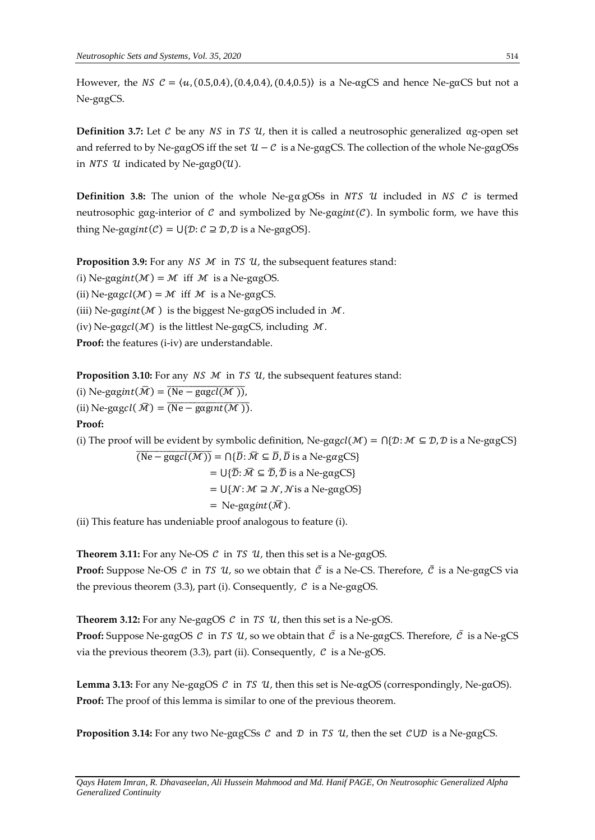However, the NS  $\mathcal{C} = \langle u, (0.5,0.4), (0.4,0.4), (0.4,0.5) \rangle$  is a Ne- $\alpha$ gCS and hence Ne-g $\alpha$ CS but not a Ne-gαgCS.

**Definition 3.7:** Let  $\mathcal C$  be any  $\mathcal NS$  in  $\mathcal TS$   $\mathcal U$ , then it is called a neutrosophic generalized  $\alpha$ g-open set and referred to by Ne-gagOS iff the set  $\mathcal{U} - \mathcal{C}$  is a Ne-gagCS. The collection of the whole Ne-gagOSs in  $NTS$  U indicated by Ne-gagO(U).

**Definition 3.8:** The union of the whole Ne-g $\alpha$ gOSs in NTS U included in NS C is termed neutrosophic gαg-interior of  $\mathcal C$  and symbolized by Ne-gagint( $\mathcal C$ ). In symbolic form, we have this thing Ne-gagint( $C$ ) =  $U\{D: C \supseteq D, D$  is a Ne-gagOS}.

**Proposition 3.9:** For any  $NS$   $M$  in  $TS$   $U$ , the subsequent features stand:

*(i)* Ne-gagint  $(M) = M$  iff  $M$  is a Ne-gagOS.

(ii) Ne-gagcl( $M$ ) =  $M$  iff  $M$  is a Ne-gagCS.

(iii) Ne-gagint( $M$ ) is the biggest Ne-gagOS included in  $M$ .

(iv) Ne-gagcl( $M$ ) is the littlest Ne-gagCS, including  $M$ .

Proof: the features (i-iv) are understandable.

**Proposition 3.10:** For any *NS M* in *TS U*, the subsequent features stand:

(i) Ne-gagint $(\overline{\mathcal{M}}) = \overline{(\text{Ne}-\text{gagcl}(\mathcal{M})))}$ , (ii) Ne-gagcl $(\bar{M}) = (Ne-gagint(M)).$ **Proof:**

(i) The proof will be evident by symbolic definition, Ne-gagcl( $\mathcal{M}$ ) =  $\bigcap \{\mathcal{D}: \mathcal{M} \subseteq \mathcal{D}, \mathcal{D} \text{ is a Ne-gagCS}\}\$ 

 $\overline{(Ne-gagcl(M))} = \bigcap {\overline{D}}$ :  $\overline{M} \subseteq \overline{D}$ ,  $\overline{D}$  is a Ne-gagCS} =  $\bigcup \{ \overline{\mathcal{D}} : \overline{\mathcal{M}} \subseteq \overline{\mathcal{D}}, \overline{\mathcal{D}} \text{ is a Ne-gagCS} \}$  $= U\{N: M \supseteq N, N$  is a Ne-gagOS} = Ne-gagint $(\bar{\mathcal{M}})$ .

(ii) This feature has undeniable proof analogous to feature (i).

**Theorem 3.11:** For any Ne-OS  $C$  in *TS*  $U$ , then this set is a Ne-gagOS. **Proof:** Suppose Ne-OS  $\mathcal C$  in TS  $\mathcal U$ , so we obtain that  $\overline{\mathcal C}$  is a Ne-CS. Therefore,  $\overline{\mathcal C}$  is a Ne-gagCS via the previous theorem (3.3), part (i). Consequently,  $\mathcal C$  is a Ne-gagOS.

**Theorem 3.12:** For any Ne-gagOS  $C$  in *TS*  $U$ , then this set is a Ne-gOS. **Proof:** Suppose Ne-gagOS  $\mathcal C$  in TS  $\mathcal U$ , so we obtain that  $\overline{\mathcal C}$  is a Ne-gagCS. Therefore,  $\overline{\mathcal C}$  is a Ne-gCS via the previous theorem (3.3), part (ii). Consequently,  $\mathcal C$  is a Ne-gOS.

**Lemma 3.13:** For any Ne-gαgOS  $\mathcal{C}$  in *TS U*, then this set is Ne-αgOS (correspondingly, Ne-gαOS). **Proof:** The proof of this lemma is similar to one of the previous theorem.

**Proposition 3.14:** For any two Ne-gagCSs  $\mathcal{C}$  and  $\mathcal{D}$  in *TS U*, then the set  $\mathcal{C} \cup \mathcal{D}$  is a Ne-gagCS.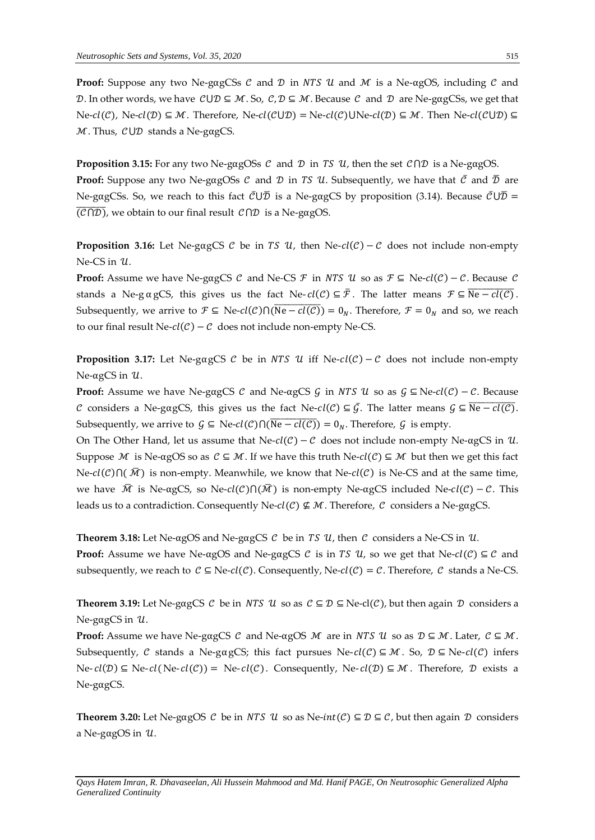**Proof:** Suppose any two Ne-gagCSs  $\mathcal{C}$  and  $\mathcal{D}$  in *NTS U* and  $\mathcal{M}$  is a Ne-agOS, including  $\mathcal{C}$  and D. In other words, we have  $C \cup D \subseteq M$ . So,  $C, D \subseteq M$ . Because C and D are Ne-gagCSs, we get that  $Ne\text{-}cl(\mathcal{C})$ ,  $Ne\text{-}cl(\mathcal{D}) \subseteq \mathcal{M}$ . Therefore,  $Ne\text{-}cl(\mathcal{C} \cup \mathcal{D}) = Ne\text{-}cl(\mathcal{C}) \cup Ne\text{-}cl(\mathcal{D}) \subseteq \mathcal{M}$ . Then  $Ne\text{-}cl(\mathcal{C} \cup \mathcal{D}) \subseteq$  $M$ . Thus,  $\mathcal{C} \cup \mathcal{D}$  stands a Ne-gagCS.

**Proposition 3.15:** For any two Ne-gagOSs  $C$  and  $D$  in *TS U*, then the set  $C \cap D$  is a Ne-gagOS. **Proof:** Suppose any two Ne-gagOSs C and D in TS U. Subsequently, we have that  $\bar{C}$  and  $\bar{D}$  are Ne-gagCSs. So, we reach to this fact  $\bar{\mathcal{C}}\cup\bar{\mathcal{D}}$  is a Ne-gagCS by proposition (3.14). Because  $\bar{\mathcal{C}}\cup\bar{\mathcal{D}}$  =  $\overline{\text{(\mathcal{C}\cap\mathcal{D})}}$ , we obtain to our final result  $\mathcal{C}\cap\mathcal{D}$  is a Ne-gagOS.

**Proposition 3.16:** Let Ne-gagCS  $\mathcal{C}$  be in TS  $\mathcal{U}$ , then Ne- $cl(\mathcal{C})-\mathcal{C}$  does not include non-empty  $Ne-CS$  in  $11$ .

**Proof:** Assume we have Ne-gagCS  $C$  and Ne-CS  $\mathcal{F}$  in NTS  $\mathcal{U}$  so as  $\mathcal{F} \subseteq$  Ne- $cl(C) - C$ . Because  $C$ stands a Ne-g α gCS, this gives us the fact Ne- $cl(C) \subseteq \overline{F}$ . The latter means  $\mathcal{F} \subseteq \overline{Ne-cl(C)}$ . Subsequently, we arrive to  $\mathcal{F} \subseteq$  Ne- $cl(\mathcal{C}) \cap (\overline{Ne - cl(\mathcal{C})}) = 0_N$ . Therefore,  $\mathcal{F} = 0_N$  and so, we reach to our final result Ne- $cl(C) - C$  does not include non-empty Ne-CS.

**Proposition 3.17:** Let Ne-gagCS  $\mathcal{C}$  be in NTS  $\mathcal{U}$  iff Ne- $cl(\mathcal{C})-\mathcal{C}$  does not include non-empty  $Ne-αgCS$  in  $U$ .

**Proof:** Assume we have Ne-gagCS  $C$  and Ne-agCS  $G$  in NTS  $U$  so as  $G \subseteq$  Ne- $cl(C) - C$ . Because C considers a Ne-gagCS, this gives us the fact Ne- $cl(C) \subseteq \overline{G}$ . The latter means  $G \subseteq \overline{Ne-cl(C)}$ . Subsequently, we arrive to  $G \subseteq$  Ne- $cl(C) \cap (\overline{Ne - cl(C)}) = 0_N$ . Therefore, G is empty.

On The Other Hand, let us assume that Ne- $cl(C) - C$  does not include non-empty Ne-αgCS in U. Suppose M is Ne-αgOS so as  $C \subseteq M$ . If we have this truth Ne- $cl(C) \subseteq M$  but then we get this fact  $Ne\text{-}cl(\mathcal{C})\cap(\bar{\mathcal{M}})$  is non-empty. Meanwhile, we know that Ne-cl( $\mathcal{C}$ ) is Ne-CS and at the same time, we have  $\overline{M}$  is Ne-αgCS, so Ne- $cl(C)\bigcap(\overline{M})$  is non-empty Ne-αgCS included Ne- $cl(C) - C$ . This leads us to a contradiction. Consequently Ne- $cl(C) \nsubseteq M$ . Therefore, C considers a Ne-gagCS.

**Theorem 3.18:** Let Ne-αgOS and Ne-gagCS  $C$  be in TS  $U$ , then  $C$  considers a Ne-CS in  $U$ .

**Proof:** Assume we have Ne-αgOS and Ne-gαgCS  $C$  is in TS  $U_t$ , so we get that Ne- $cl(C) \subseteq C$  and subsequently, we reach to  $C \subseteq Ne\text{-}cl(C)$ . Consequently, Ne- $cl(C) = C$ . Therefore, C stands a Ne-CS.

**Theorem 3.19:** Let Ne-gagCS  $C$  be in *NTS U* so as  $C \subseteq D \subseteq$  Ne-cl( $C$ ), but then again  $D$  considers a Ne-gαgCS in  $u$ .

**Proof:** Assume we have Ne-gαgCS C and Ne-αgOS M are in NTS U so as  $\mathcal{D} \subseteq \mathcal{M}$ . Later,  $\mathcal{C} \subseteq \mathcal{M}$ . Subsequently, C stands a Ne-gαgCS; this fact pursues Ne- $cl(C) \subseteq M$ . So,  $D \subseteq Ne-cl(C)$  infers Ne-  $cl(D)$  ⊆ Ne-  $cl(Ne$ -  $cl(C)$ ) = Ne-  $cl(C)$ . Consequently, Ne-  $cl(D)$  ⊆ M. Therefore, D exists a Ne-gαgCS.

**Theorem 3.20:** Let Ne-gagOS C be in *NTS U* so as Ne- $int(C) \subseteq D \subseteq C$ , but then again D considers a Ne-gagOS in  $u$ .

*Qays Hatem Imran, R. Dhavaseelan, Ali Hussein Mahmood and Md. Hanif PAGE, On Neutrosophic Generalized Alpha Generalized Continuity*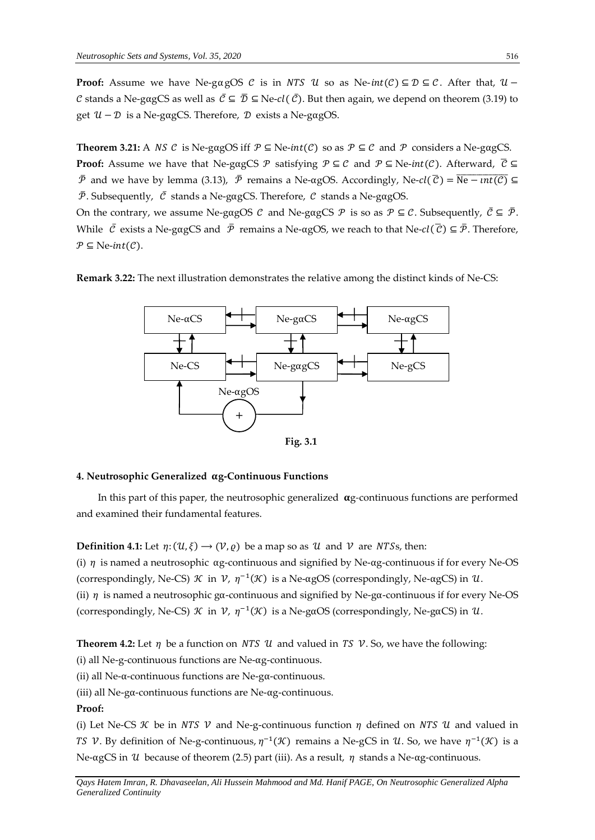**Proof:** Assume we have Ne-gagOS  $C$  is in NTS  $U$  so as Ne- $int(C) \subseteq D \subseteq C$ . After that,  $U -$ C stands a Ne-gagCS as well as  $\bar{C} \subseteq \bar{D} \subseteq$  Ne-cl( $\bar{C}$ ). But then again, we depend on theorem (3.19) to get  $\mathcal{U} - \mathcal{D}$  is a Ne-gαgCS. Therefore,  $\mathcal{D}$  exists a Ne-gagOS.

**Theorem 3.21:** A *NS C* is Ne-gagOS iff  $P \subseteq Ne-int(C)$  so as  $P \subseteq C$  and  $P$  considers a Ne-gagCS. **Proof:** Assume we have that Ne-gagCS  $\mathcal{P}$  satisfying  $\mathcal{P} \subseteq \mathcal{C}$  and  $\mathcal{P} \subseteq$  Ne-int(C). Afterward,  $\overline{\mathcal{C}} \subseteq$  $\bar{P}$  and we have by lemma (3.13),  $\bar{P}$  remains a Ne-αgOS. Accordingly, Ne-*cl*( $\bar{C}$ ) =  $\overline{Ne - int(C)}$  ⊆  $\bar{P}$ . Subsequently,  $\bar{C}$  stands a Ne-gagCS. Therefore,  $C$  stands a Ne-gagOS.

On the contrary, we assume Ne-gagOS  $\mathcal C$  and Ne-gagCS  $\mathcal P$  is so as  $\mathcal P \subseteq \mathcal C$ . Subsequently,  $\overline{\mathcal C} \subseteq \overline{\mathcal P}$ . While  $\bar{C}$  exists a Ne-gagCS and  $\bar{P}$  remains a Ne-agOS, we reach to that Ne- $cl(\bar{C}) \subseteq \bar{P}$ . Therefore,  $P \subseteq$  Ne-int(C).





#### **4. Neutrosophic Generalized g-Continuous Functions**

In this part of this paper, the neutrosophic generalized  $\alpha$ *g*-continuous functions are performed and examined their fundamental features.

**Definition 4.1:** Let  $\eta: (U, \xi) \to (V, \varrho)$  be a map so as  $U$  and  $V$  are NTSs, then: (i)  $\eta$  is named a neutrosophic  $\alpha$ g-continuous and signified by Ne- $\alpha$ g-continuous if for every Ne-OS (correspondingly, Ne-CS)  $\mathcal K$  in  $\mathcal V$ ,  $\eta^{-1}(\mathcal K)$  is a Ne-αgOS (correspondingly, Ne-αgCS) in  $\mathcal U$ . (ii)  $\eta$  is named a neutrosophic gα-continuous and signified by Ne-gα-continuous if for every Ne-OS (correspondingly, Ne-CS)  $\mathcal K$  in  $\mathcal V$ ,  $\eta^{-1}(\mathcal K)$  is a Ne-gαOS (correspondingly, Ne-gαCS) in  $\mathcal U$ .

**Theorem 4.2:** Let  $\eta$  be a function on *NTS U* and valued in *TS V*. So, we have the following:

(i) all Ne-g-continuous functions are Ne-αg-continuous.

(ii) all Ne-α-continuous functions are Ne-gα-continuous.

(iii) all Ne-gα-continuous functions are Ne-αg-continuous.

### **Proof:**

(i) Let Ne-CS  $\mathcal K$  be in NTS  $\mathcal V$  and Ne-g-continuous function  $\eta$  defined on NTS  $\mathcal U$  and valued in TS V. By definition of Ne-g-continuous,  $\eta^{-1}(\mathcal{K})$  remains a Ne-gCS in U. So, we have  $\eta^{-1}(\mathcal{K})$  is a Ne-αgCS in *U* because of theorem (2.5) part (iii). As a result,  $η$  stands a Ne-αg-continuous.

*Qays Hatem Imran, R. Dhavaseelan, Ali Hussein Mahmood and Md. Hanif PAGE, On Neutrosophic Generalized Alpha Generalized Continuity*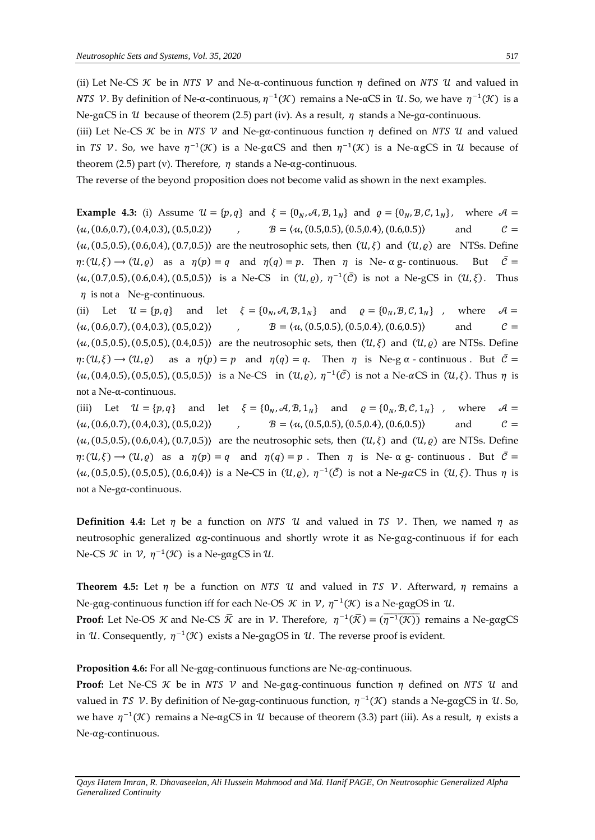(ii) Let Ne-CS *K* be in *NTS V* and Ne- $\alpha$ -continuous function  $\eta$  defined on *NTS U* and valued in *NTS V*. By definition of Ne-α-continuous,  $η^{-1}(K)$  remains a Ne-αCS in U. So, we have  $η^{-1}(K)$  is a Ne-gaCS in U because of theorem (2.5) part (iv). As a result,  $\eta$  stands a Ne-ga-continuous.

(iii) Let Ne-CS  $\mathcal K$  be in *NTS V* and Ne-gα-continuous function  $\eta$  defined on *NTS U* and valued in TS V. So, we have  $\eta^{-1}(\mathcal{K})$  is a Ne-gaCS and then  $\eta^{-1}(\mathcal{K})$  is a Ne-agCS in U because of theorem (2.5) part (v). Therefore,  $\eta$  stands a Ne-αg-continuous.

The reverse of the beyond proposition does not become valid as shown in the next examples.

**Example 4.3:** (i) Assume  $\mathcal{U} = \{p, q\}$  and  $\xi = \{0_N, \mathcal{A}, \mathcal{B}, 1_N\}$  and  $\rho = \{0_N, \mathcal{B}, \mathcal{C}, 1_N\}$ , where  $\mathcal{A} =$  $\langle u, (0.6, 0.7), (0.4, 0.3), (0.5, 0.2) \rangle$  ,  $B = \langle u, (0.5, 0.5), (0.5, 0.4), (0.6, 0.5) \rangle$  and  $C =$  $\langle u, (0.5, 0.5), (0.6, 0.4), (0.7, 0.5) \rangle$  are the neutrosophic sets, then  $(\mathcal{U}, \xi)$  and  $(\mathcal{U}, \varrho)$  are NTSs. Define  $\eta: (U, \xi) \to (U, \rho)$  as a  $\eta(\rho) = q$  and  $\eta(q) = p$ . Then  $\eta$  is Ne-  $\alpha$  g- continuous. But  $\overline{C} =$  $\langle u, (0.7, 0.5), (0.6, 0.4), (0.5, 0.5) \rangle$  is a Ne-CS in  $(\mathcal{U}, \varrho), \eta^{-1}(\bar{\mathcal{C}})$  is not a Ne-gCS in  $(\mathcal{U}, \xi)$ . Thus  $\eta$  is not a Ne-g-continuous.

(ii) Let  $\mathcal{U} = \{p, q\}$  and let  $\xi = \{0_N, \mathcal{A}, \mathcal{B}, 1_N\}$  and  $\rho = \{0_N, \mathcal{B}, \mathcal{C}, 1_N\}$ , where  $\mathcal{A} =$  $\langle u, (0.6, 0.7), (0.4, 0.3), (0.5, 0.2) \rangle$  ,  $B = \langle u, (0.5, 0.5), (0.5, 0.4), (0.6, 0.5) \rangle$  and  $C =$  $\langle u, (0.5, 0.5), (0.5, 0.5), (0.4, 0.5) \rangle$  are the neutrosophic sets, then  $(\mathcal{U}, \xi)$  and  $(\mathcal{U}, \varrho)$  are NTSs. Define  $\eta: (U, \xi) \to (U, \rho)$  as a  $\eta(p) = p$  and  $\eta(q) = q$ . Then  $\eta$  is Ne-g  $\alpha$  - continuous. But  $\overline{C} =$  $\langle u, (0.4, 0.5), (0.5, 0.5), (0.5, 0.5) \rangle$  is a Ne-CS in  $(\mathcal{U}, \rho), \eta^{-1}(\bar{\mathcal{C}})$  is not a Ne- $\alpha$ CS in  $(\mathcal{U}, \xi)$ . Thus  $\eta$  is not a Ne-α-continuous.

(iii) Let  $\mathcal{U} = \{p, q\}$  and let  $\xi = \{0_N, \mathcal{A}, \mathcal{B}, 1_N\}$  and  $\rho = \{0_N, \mathcal{B}, \mathcal{C}, 1_N\}$ , where  $\mathcal{A} =$  $\langle u, (0.6, 0.7), (0.4, 0.3), (0.5, 0.2) \rangle$  ,  $B = \langle u, (0.5, 0.5), (0.5, 0.4), (0.6, 0.5) \rangle$  and  $C =$  $\langle u, (0.5, 0.5), (0.6, 0.4), (0.7, 0.5) \rangle$  are the neutrosophic sets, then  $(\mathcal{U}, \xi)$  and  $(\mathcal{U}, \varrho)$  are NTSs. Define  $\eta: (U, \xi) \to (U, \rho)$  as a  $\eta(\rho) = q$  and  $\eta(q) = p$ . Then  $\eta$  is Ne-  $\alpha$  g- continuous. But  $\overline{C} =$  $\langle u, (0.5, 0.5), (0.5, 0.5), (0.6, 0.4) \rangle$  is a Ne-CS in  $(\mathcal{U}, \varrho), \eta^{-1}(\bar{\mathcal{C}})$  is not a Ne-gaCS in  $(\mathcal{U}, \xi)$ . Thus  $\eta$  is not a Ne-gα-continuous.

**Definition 4.4:** Let  $\eta$  be a function on NTS U and valued in TS V. Then, we named  $\eta$  as neutrosophic generalized αg-continuous and shortly wrote it as Ne-gαg-continuous if for each Ne-CS  $\mathcal K$  in  $\mathcal V$ ,  $\eta^{-1}(\mathcal K)$  is a Ne-gagCS in  $\mathcal U$ .

**Theorem 4.5:** Let  $\eta$  be a function on NTS U and valued in TS V. Afterward,  $\eta$  remains a Ne-gag-continuous function iff for each Ne-OS  $\mathcal K$  in  $\mathcal V$ ,  $\eta^{-1}(\mathcal K)$  is a Ne-gagOS in  $\mathcal U$ . **Proof:** Let Ne-OS *K* and Ne-CS  $\bar{\mathcal{K}}$  are in *V*. Therefore,  $\eta^{-1}(\bar{\mathcal{K}}) = (\overline{\eta^{-1}(\mathcal{K})})$  remains a Ne-gagCS in U. Consequently,  $\eta^{-1}(\mathcal{K})$  exists a Ne-gαgOS in U. The reverse proof is evident.

**Proposition 4.6:** For all Ne-gαg-continuous functions are Ne-αg-continuous.

**Proof:** Let Ne-CS  $\mathcal K$  be in NTS  $\mathcal V$  and Ne-gag-continuous function  $\eta$  defined on NTS  $\mathcal U$  and valued in TS V. By definition of Ne-gαg-continuous function,  $η^{-1}(X)$  stands a Ne-gαgCS in U. So, we have  $η^{-1}(K)$  remains a Ne-αgCS in U because of theorem (3.3) part (iii). As a result, η exists a Ne-αg-continuous.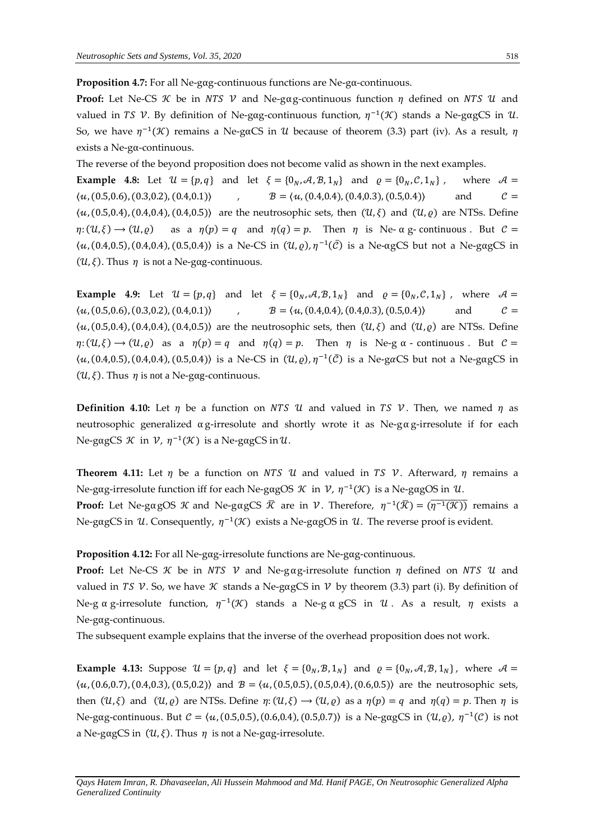**Proposition 4.7:** For all Ne-gαg-continuous functions are Ne-gα-continuous.

**Proof:** Let Ne-CS  $\mathcal{K}$  be in *NTS V* and Ne-gag-continuous function  $\eta$  defined on *NTS U* and valued in TS V. By definition of Ne-gag-continuous function,  $\eta^{-1}(\mathcal{K})$  stands a Ne-gagCS in U. So, we have  $η^{-1}(\mathcal{K})$  remains a Ne-gαCS in  $\mathcal U$  because of theorem (3.3) part (iv). As a result,  $η$ exists a Ne-gα-continuous.

The reverse of the beyond proposition does not become valid as shown in the next examples.

**Example 4.8:** Let  $\mathcal{U} = \{p, q\}$  and let  $\xi = \{0_N, \mathcal{A}, \mathcal{B}, 1_N\}$  and  $\rho = \{0_N, \mathcal{C}, 1_N\}$ , where  $\mathcal{A} =$  $\langle u, (0.5,0.6), (0.3,0.2), (0.4,0.1) \rangle$  ,  $B = \langle u, (0.4,0.4), (0.4,0.3), (0.5,0.4) \rangle$  and  $C =$  $\langle u, (0.5,0.4), (0.4,0.4), (0.4,0.5) \rangle$  are the neutrosophic sets, then  $(\mathcal{U}, \xi)$  and  $(\mathcal{U}, \varrho)$  are NTSs. Define  $\eta: (u, \xi) \to (u, \varrho)$  as a  $\eta(p) = q$  and  $\eta(q) = p$ . Then  $\eta$  is Ne-  $\alpha$  g- continuous. But  $\mathcal{C} =$  $\langle u, (0.4, 0.5), (0.4, 0.4), (0.5, 0.4) \rangle$  is a Ne-CS in  $(\mathcal{U}, \varrho), \eta^{-1}(\bar{\mathcal{C}})$  is a Ne-agCS but not a Ne-gagCS in ( $\mathcal{U}, \xi$ ). Thus  $\eta$  is not a Ne-gag-continuous.

**Example 4.9:** Let  $\mathcal{U} = \{p, q\}$  and let  $\xi = \{0_N, \mathcal{A}, \mathcal{B}, 1_N\}$  and  $\rho = \{0_N, \mathcal{C}, 1_N\}$ , where  $\mathcal{A} =$  $\langle u, (0.5,0.6), (0.3,0.2), (0.4,0.1) \rangle$  ,  $B = \langle u, (0.4,0.4), (0.4,0.3), (0.5,0.4) \rangle$  and  $C =$  $\langle u, (0.5,0.4), (0.4,0.4), (0.4,0.5) \rangle$  are the neutrosophic sets, then  $(\mathcal{U}, \xi)$  and  $(\mathcal{U}, \varrho)$  are NTSs. Define  $\eta: (u, \xi) \to (u, \varrho)$  as a  $\eta(p) = q$  and  $\eta(q) = p$ . Then  $\eta$  is Ne-g  $\alpha$  - continuous. But  $\mathcal{C} =$  $\langle u, (0.4, 0.5), (0.4, 0.4), (0.5, 0.4) \rangle$  is a Ne-CS in  $(\mathcal{U}, \varrho), \eta^{-1}(\bar{\mathcal{C}})$  is a Ne-gaCS but not a Ne-gagCS in ( $\mathcal{U}, \xi$ ). Thus  $\eta$  is not a Ne-gag-continuous.

**Definition 4.10:** Let  $\eta$  be a function on *NTS U* and valued in *TS V*. Then, we named  $\eta$  as neutrosophic generalized αg-irresolute and shortly wrote it as Ne-gα g-irresolute if for each Ne-gαgCS  $\mathcal K$  in  $\mathcal V$ ,  $\eta^{-1}(\mathcal K)$  is a Ne-gαgCS in  $\mathcal U$ .

**Theorem 4.11:** Let  $\eta$  be a function on *NTS U* and valued in *TS V*. Afterward,  $\eta$  remains a Ne-gαg-irresolute function iff for each Ne-gαgOS  $\mathcal K$  in  $\mathcal V$ ,  $\eta^{-1}(\mathcal K)$  is a Ne-gαgOS in  $\mathcal U$ . **Proof:** Let Ne-gagOS K and Ne-gagCS  $\bar{\mathcal{K}}$  are in V. Therefore,  $\eta^{-1}(\bar{\mathcal{K}}) = (\overline{\eta^{-1}(\mathcal{K})})$  remains a

Ne-gagCS in U. Consequently,  $\eta^{-1}(\mathcal{K})$  exists a Ne-gagOS in U. The reverse proof is evident.

**Proposition 4.12:** For all Ne-gαg-irresolute functions are Ne-gαg-continuous.

**Proof:** Let Ne-CS  $\mathcal{K}$  be in *NTS V* and Ne-gag-irresolute function  $\eta$  defined on *NTS U* and valued in TS V. So, we have  $\mathcal K$  stands a Ne-gagCS in V by theorem (3.3) part (i). By definition of Ne-g α g-irresolute function,  $η^{-1}(x)$  stands a Ne-g α gCS in U. As a result,  $η$  exists a Ne-gαg-continuous.

The subsequent example explains that the inverse of the overhead proposition does not work.

**Example 4.13:** Suppose  $\mathcal{U} = \{p, q\}$  and let  $\xi = \{0_N, \mathcal{B}, 1_N\}$  and  $\varrho = \{0_N, \mathcal{A}, \mathcal{B}, 1_N\}$ , where  $\mathcal{A} =$  $\langle u, (0.6, 0.7), (0.4, 0.3), (0.5, 0.2) \rangle$  and  $B = \langle u, (0.5, 0.5), (0.5, 0.4), (0.6, 0.5) \rangle$  are the neutrosophic sets, then  $(U, \xi)$  and  $(U, \varrho)$  are NTSs. Define  $\eta: (U, \xi) \to (U, \varrho)$  as a  $\eta(p) = q$  and  $\eta(q) = p$ . Then  $\eta$  is Ne-gag-continuous. But  $C = \langle u, (0.5, 0.5), (0.6, 0.4), (0.5, 0.7) \rangle$  is a Ne-gagCS in  $(\mathcal{U}, \varrho), \eta^{-1}(\mathcal{C})$  is not a Ne-gagCS in  $(\mathcal{U}, \xi)$ . Thus  $\eta$  is not a Ne-gag-irresolute.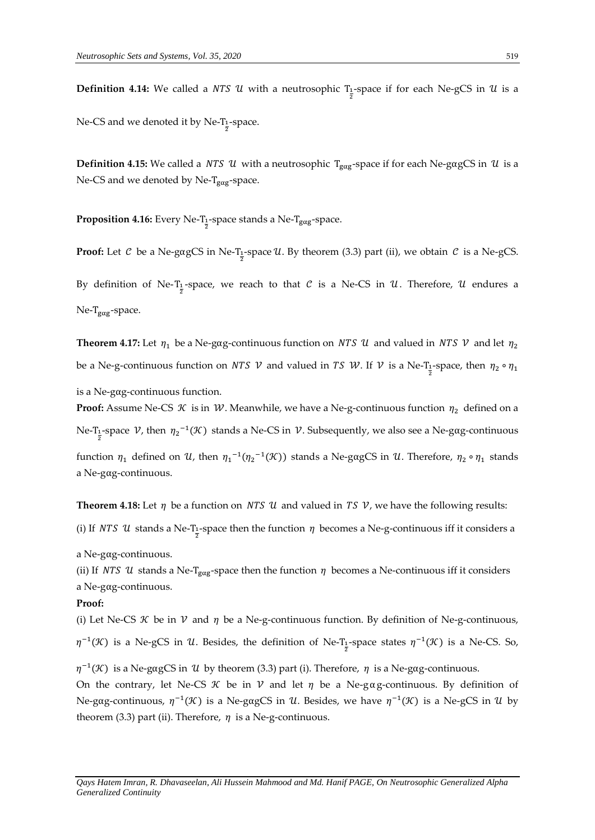${\bf Definition \ 4.14:}$  We called a *NTS*  ${\bf \mathcal{U}}$  *w*ith a neutrosophic  $T_{\frac{1}{2}}$ -space if for each Ne-gCS in  ${\bf \mathcal{U}}$  is a

Ne-CS and we denoted it by Ne-T<sub>1</sub>-space.

**Definition 4.15:** We called a *NTS U* with a neutrosophic T<sub>gαg</sub>-space if for each Ne-gαgCS in *U* is a Ne-CS and we denoted by Ne-T<sub>gαg</sub>-space.

**Proposition 4.16:** Every Ne-T<sub>1</sub>-space stands a Ne-T<sub>gαg</sub>-space.

**Proof:** Let  $C$  be a Ne-gαgCS in Ne-T<sub>1</sub>-space  $U$ . By theorem (3.3) part (ii), we obtain  $C$  is a Ne-gCS. By definition of Ne-T<sub>1</sub>-space, we reach to that  $C$  is a Ne-CS in  $U$ . Therefore,  $U$  endures a Ne-T<sub>gαg</sub>-space.

**Theorem 4.17:** Let  $\eta_1$  be a Ne-gag-continuous function on *NTS U* and valued in *NTS V* and let  $\eta_2$ be a Ne-g-continuous function on *NTS V* and valued in *TS W*. If *V* is a Ne-T<sub>1</sub>-space, then  $\eta_2 \circ \eta_1$ is a Ne-gαg-continuous function.

**Proof:** Assume Ne-CS  $K$  is in  $W$ . Meanwhile, we have a Ne-g-continuous function  $\eta_2$  defined on a Ne-T<sub>1</sub>-space  $V$ , then  $\eta_2^{-1}(\mathcal{K})$  stands a Ne-CS in  $V$ . Subsequently, we also see a Ne-gαg-continuous

function  $η_1$  defined on U, then  $η_1^{-1}(η_2^{-1}(\mathcal{K}))$  stands a Ne-gαgCS in U. Therefore,  $η_2 \circ η_1$  stands a Ne-gαg-continuous.

**Theorem 4.18:** Let  $\eta$  be a function on *NTS U* and valued in *TS V*, we have the following results:

(i) If *NTS* U stands a Ne-T<sub>1</sub>-space then the function  $\eta$  becomes a Ne-g-continuous iff it considers a

a Ne-gαg-continuous.

(ii) If *NTS* U stands a Ne-T<sub>gαg</sub>-space then the function  $\eta$  becomes a Ne-continuous iff it considers a Ne-gαg-continuous.

#### **Proof:**

(i) Let Ne-CS  $\mathcal K$  be in  $\mathcal V$  and  $\eta$  be a Ne-g-continuous function. By definition of Ne-g-continuous,  $\eta^{-1}(\mathcal{K})$  is a Ne-gCS in  $\mathcal{U}$ . Besides, the definition of Ne-T<sub>1</sub>-space states  $\eta^{-1}(\mathcal{K})$  is a Ne-CS. So,

 $\eta^{-1}(\mathcal{K})$  is a Ne-gagCS in U by theorem (3.3) part (i). Therefore,  $\eta$  is a Ne-gag-continuous.

On the contrary, let Ne-CS  $\mathcal K$  be in  $\mathcal V$  and let  $\eta$  be a Ne-gag-continuous. By definition of Ne-gag-continuous,  $\eta^{-1}(\mathcal{K})$  is a Ne-gagCS in U. Besides, we have  $\eta^{-1}(\mathcal{K})$  is a Ne-gCS in U by theorem (3.3) part (ii). Therefore,  $\eta$  is a Ne-g-continuous.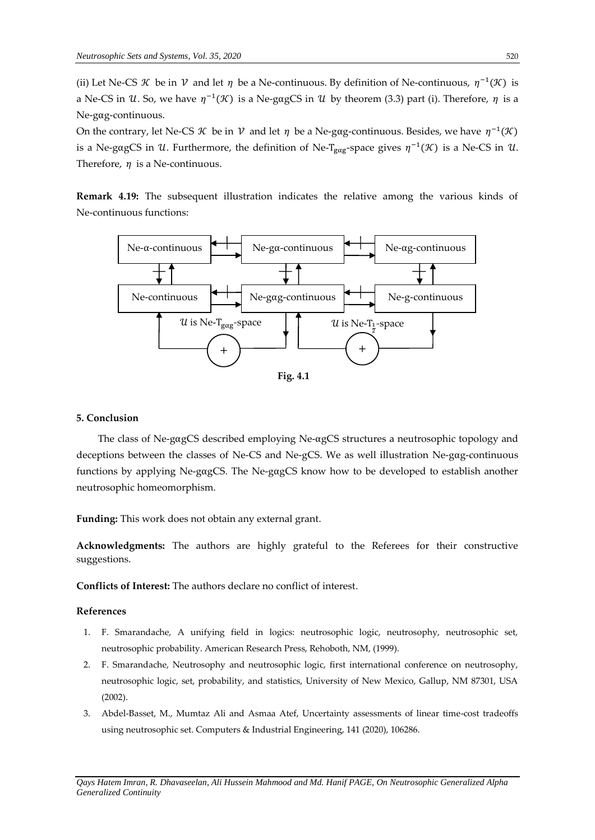(ii) Let Ne-CS *K* be in *V* and let  $\eta$  be a Ne-continuous. By definition of Ne-continuous,  $\eta^{-1}(\mathcal{K})$  is a Ne-CS in U. So, we have  $\eta^{-1}(\mathcal{K})$  is a Ne-gagCS in U by theorem (3.3) part (i). Therefore,  $\eta$  is a Ne-gαg-continuous.

On the contrary, let Ne-CS K be in V and let  $\eta$  be a Ne-gαg-continuous. Besides, we have  $\eta^{-1}(\mathcal{K})$ is a Ne-gαgCS in U. Furthermore, the definition of Ne-T<sub>gαg</sub>-space gives  $\eta^{-1}(\mathcal{K})$  is a Ne-CS in U. Therefore,  $\eta$  is a Ne-continuous.

**Remark 4.19:** The subsequent illustration indicates the relative among the various kinds of Ne-continuous functions:



#### **5. Conclusion**

The class of Ne-gαgCS described employing Ne-αgCS structures a neutrosophic topology and deceptions between the classes of Ne-CS and Ne-gCS. We as well illustration Ne-gαg-continuous functions by applying Ne-gαgCS. The Ne-gαgCS know how to be developed to establish another neutrosophic homeomorphism.

**Funding:** This work does not obtain any external grant.

**Acknowledgments:** The authors are highly grateful to the Referees for their constructive suggestions.

**Conflicts of Interest:** The authors declare no conflict of interest.

#### **References**

- 1. F. Smarandache, A unifying field in logics: neutrosophic logic, neutrosophy, neutrosophic set, neutrosophic probability. American Research Press, Rehoboth, NM, (1999).
- 2. F. Smarandache, Neutrosophy and neutrosophic logic, first international conference on neutrosophy, neutrosophic logic, set, probability, and statistics, University of New Mexico, Gallup, NM 87301, USA (2002).
- 3. Abdel-Basset, M., Mumtaz Ali and Asmaa Atef, Uncertainty assessments of linear time-cost tradeoffs using neutrosophic set. Computers & Industrial Engineering, 141 (2020), 106286.